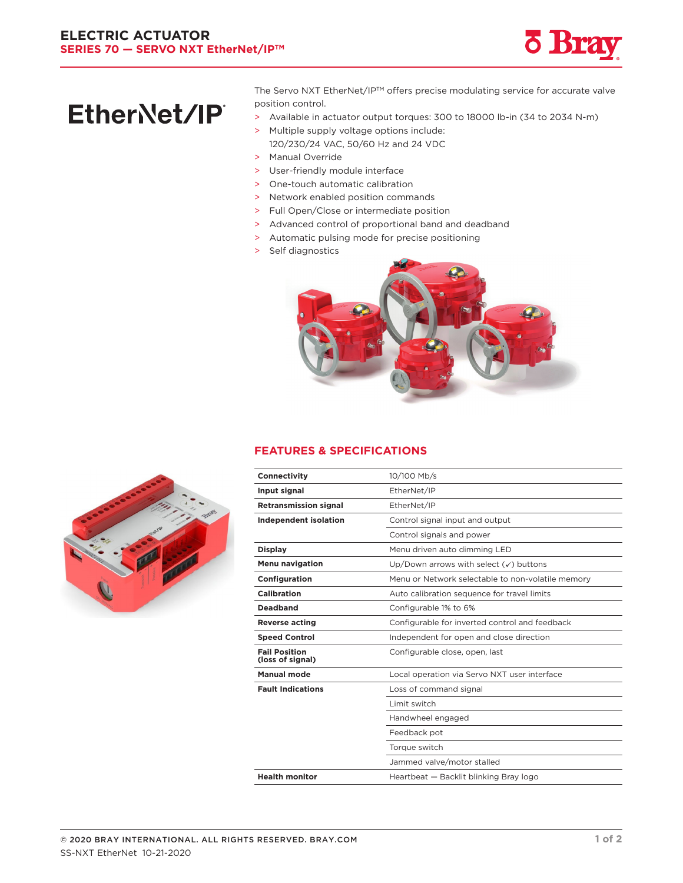

# EtherNet/IP®

The Servo NXT EtherNet/IP™ offers precise modulating service for accurate valve position control.

- > Available in actuator output torques: 300 to 18000 lb-in (34 to 2034 N-m)
- > Multiple supply voltage options include: 120/230/24 VAC, 50/60 Hz and 24 VDC
- > Manual Override
- > User-friendly module interface
- > One-touch automatic calibration
- > Network enabled position commands
- > Full Open/Close or intermediate position
- > Advanced control of proportional band and deadband
- > Automatic pulsing mode for precise positioning
- > Self diagnostics



#### **FEATURES & SPECIFICATIONS**

| 10/100 Mb/s                                       |
|---------------------------------------------------|
|                                                   |
| EtherNet/IP                                       |
| EtherNet/IP                                       |
| Control signal input and output                   |
| Control signals and power                         |
| Menu driven auto dimming LED                      |
| Up/Down arrows with select $(\checkmark)$ buttons |
| Menu or Network selectable to non-volatile memory |
| Auto calibration sequence for travel limits       |
| Configurable 1% to 6%                             |
| Configurable for inverted control and feedback    |
| Independent for open and close direction          |
| Configurable close, open, last                    |
| Local operation via Servo NXT user interface      |
| Loss of command signal                            |
| Limit switch                                      |
| Handwheel engaged                                 |
| Feedback pot                                      |
| Torque switch                                     |
| Jammed valve/motor stalled                        |
| Heartbeat - Backlit blinking Bray logo            |
|                                                   |